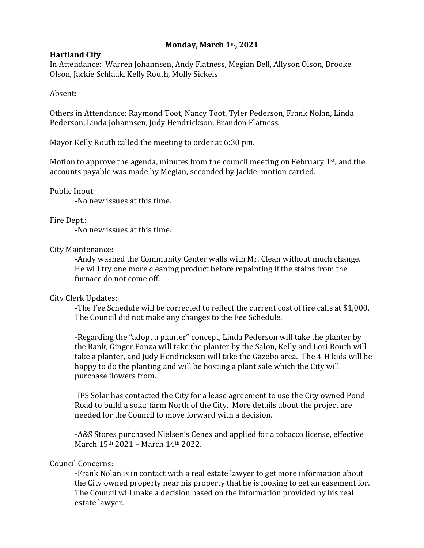## **Monday, March 1st, 2021**

## **Hartland City**

In Attendance: Warren Johannsen, Andy Flatness, Megian Bell, Allyson Olson, Brooke Olson, Jackie Schlaak, Kelly Routh, Molly Sickels

Absent:

Others in Attendance: Raymond Toot, Nancy Toot, Tyler Pederson, Frank Nolan, Linda Pederson, Linda Johannsen, Judy Hendrickson, Brandon Flatness.

Mayor Kelly Routh called the meeting to order at 6:30 pm.

Motion to approve the agenda, minutes from the council meeting on February  $1<sup>st</sup>$ , and the accounts payable was made by Megian, seconded by Jackie; motion carried.

Public Input:

-No new issues at this time.

Fire Dept.:

-No new issues at this time.

City Maintenance:

-Andy washed the Community Center walls with Mr. Clean without much change. He will try one more cleaning product before repainting if the stains from the furnace do not come off.

## City Clerk Updates:

-The Fee Schedule will be corrected to reflect the current cost of fire calls at \$1,000. The Council did not make any changes to the Fee Schedule.

-Regarding the "adopt a planter" concept, Linda Pederson will take the planter by the Bank, Ginger Fonza will take the planter by the Salon, Kelly and Lori Routh will take a planter, and Judy Hendrickson will take the Gazebo area. The 4-H kids will be happy to do the planting and will be hosting a plant sale which the City will purchase flowers from.

-IPS Solar has contacted the City for a lease agreement to use the City owned Pond Road to build a solar farm North of the City. More details about the project are needed for the Council to move forward with a decision.

-A&S Stores purchased Nielsen's Cenex and applied for a tobacco license, effective March 15th 2021 – March 14th 2022.

## Council Concerns:

-Frank Nolan is in contact with a real estate lawyer to get more information about the City owned property near his property that he is looking to get an easement for. The Council will make a decision based on the information provided by his real estate lawyer.